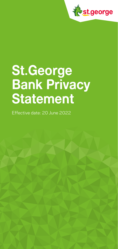

# **St.George Bank Privacy Statement**

Effective date: 20 June 2022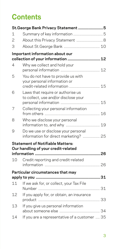# **Contents**

|    | St. George Bank Privacy Statement 5                                                                  |    |
|----|------------------------------------------------------------------------------------------------------|----|
| 1  |                                                                                                      |    |
| 2  | About this Privacy Statement  8                                                                      |    |
| 3  |                                                                                                      |    |
|    | Important information about our                                                                      |    |
| 4  | Why we collect and hold your                                                                         |    |
| 5  | You do not have to provide us with<br>your personal information or<br>credit-related information  15 |    |
| 6  | Laws that require or authorise us<br>to collect, use and/or disclose your                            | 15 |
| 7  | Collecting your personal information                                                                 |    |
| 8  | Who we disclose your personal<br>information to, and why  19                                         |    |
| 9  | Do we use or disclose your personal<br>information for direct marketing?  25                         |    |
|    | <b>Statement of Notifiable Matters:</b><br>Our handling of your credit-related                       |    |
|    |                                                                                                      |    |
| 10 | Credit reporting and credit-related                                                                  |    |
|    | Particular circumstances that may                                                                    |    |
| 11 | If we ask for, or collect, your Tax File                                                             |    |
| 12 | If you apply for, or obtain, an insurance                                                            |    |
| 13 | If you give us personal information                                                                  |    |
| 14 | If you are a representative of a customer  35                                                        |    |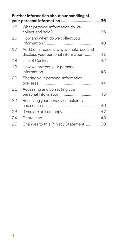|    | Further information about our handling of                                         |  |
|----|-----------------------------------------------------------------------------------|--|
| 15 | What personal information do we                                                   |  |
| 16 | How and when do we collect your                                                   |  |
| 17 | Additional reasons why we hold, use and<br>disclose your personal information  41 |  |
| 18 |                                                                                   |  |
| 19 | How we protect your personal                                                      |  |
| 20 | Sharing your personal information                                                 |  |
| 21 | Accessing and correcting your                                                     |  |
| 22 | Resolving your privacy complaints                                                 |  |
| 23 |                                                                                   |  |
| 24 |                                                                                   |  |
| 25 | Changes to this Privacy Statement  50                                             |  |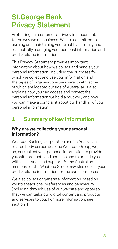# <span id="page-4-0"></span>**St.George Bank Privacy Statement**

Protecting our customers' privacy is fundamental to the way we do business. We are committed to earning and maintaining your trust by carefully and respectfully managing your personal information and credit‑related information.

This Privacy Statement provides important information about how we collect and handle your personal information, including the purposes for which we collect and use your information and the types of organisations we share it with (some of which are located outside of Australia). It also explains how you can access and correct the personal information we hold about you, and how you can make a complaint about our handling of your personal information.

# **1 Summary of key information**

#### **Why are we collecting your personal information?**

Westpac Banking Corporation and its Australian related body corporates (the Westpac Group, we, us, our) collect your personal information to provide you with products and services and to provide you with assistance and support. Some Australian members of the Westpac Group may also collect your credit-related information for the same purposes.

We also collect or generate information based on your transactions, preferences and behaviours (including through use of our website and apps) so that we can tailor our digital content and products and services to you. For more information, see section 4.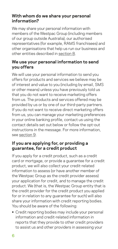#### **With whom do we share your personal information?**

We may share your personal information with members of the Westpac Group (including members of our group outside Australia), our authorised representatives (for example, RAMS franchisees) and other organisations that help us run our business and other entities described in section 8.

#### **We use your personal information to send you offers**

We will use your personal information to send you offers for products and services we believe may be of interest and value to you (including by email, SMS or other means) unless you have previously told us that you do not want to receive marketing offers from us. The products and services offered may be provided by us or by one of our third‑party partners. If you do not want to receive direct marketing offers from us, you can manage your marketing preferences in your online banking profile, contact us using the contact details set out below or follow the opt‑out instructions in the message. For more information, see [section](#page-24-1) 9.

#### **If you are applying for, or providing a guarantee, for a credit product**

If you apply for a credit product, such as a credit card or mortgage, or provide a guarantee for a credit product, we will also collect your credit‑related information to assess (or have another member of the Westpac Group as the credit provider assess) your application for credit, and to manage the credit product. We (that is, the Westpac Group entity that is the credit provider for the credit product you applied for or in relation to any guarantee for such) will also share your information with credit reporting bodies. You should be aware of the following:

**•** Credit reporting bodies may include your personal information and credit‑related information in reports that they provide to other credit providers to assist us and other providers in assessing your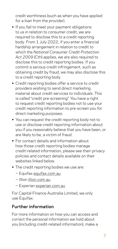credit worthiness (such as when you have applied for a loan from the provider).

- **•** If you fail to meet your payment obligations to us in relation to consumer credit, we are required to disclose this to a credit reporting body. From 1 July 2022, if you enter a financial hardship arrangement in relation to credit to which the *National Consumer Credit Protection Act 2009* (Cth) applies, we are also required to disclose this to credit reporting bodies. If you commit a serious credit infringement, such as obtaining credit by fraud, we may also disclose this to a credit reporting body.
- **•** Credit reporting bodies offer a service to credit providers wishing to send direct marketing material about credit services to individuals. This is called "credit pre‑screening". You have a right to request credit reporting bodies not to use your credit reporting information to pre‑screen you for direct marketing purposes.
- **•** You can request the credit reporting body not to use or disclose credit reporting information about you if you reasonably believe that you have been, or are likely to be, a victim of fraud.
- **•** For contact details and information about how those credit reporting bodies manage credit‑related information, please see their privacy policies and contact details available on their websites linked below.
- **•** The credit reporting bodies we use are:
	- − Equifax [equifax.com.au](http://www.equifax.com.au)
	- − Illion [illion.com.au](http://www.illion.com.au)
	- − Experian [experian.com.au](http://www.experian.com.au)

For Capital Finance Australia Limited, we only use Equifax.

#### **Further information**

For more information on how you can access and correct the personal information we hold about you (including credit‑related information), make a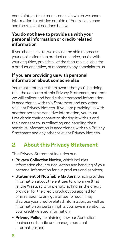<span id="page-7-0"></span>complaint, or the circumstances in which we share information to entities outside of Australia, please see the relevant sections below.

#### **You do not have to provide us with your personal information or credit‑related information**

If you choose not to, we may not be able to process your application for a product or service, assist with your enquiries, provide all of the features available for a product or service, or respond to any complaint to us.

#### **If you are providing us with personal information about someone else**

You must first make them aware that you'll be doing this, the contents of this Privacy Statement, and that we will collect and handle their personal information in accordance with this Statement and any other relevant Privacy Notices. If you are providing us with another person's sensitive information, you must first obtain their consent to sharing it with us and their consent to us collecting and handling their sensitive information in accordance with this Privacy Statement and any other relevant Privacy Notices.

# **2 About this Privacy Statement**

This Privacy Statement includes our:

- **• Privacy Collection Notice**, which includes information about our collection and handling of your personal information for our products and services;
- **• Statement of Notifiable Matters**, which provides information about the entities to whom we (that is, the Westpac Group entity acting as the credit provider for the credit product you applied for or in relation to any guarantee for such) may disclose your credit‑related information, as well as information on certain rights you have in relation to your credit‑related information;
- **• Privacy Policy**, explaining how our Australian businesses handle and manage personal information; and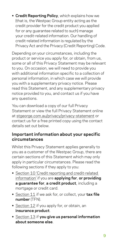**• Credit Reporting Policy**, which explains how we (that is, the Westpac Group entity acting as the credit provider for the credit product you applied for or any guarantee related to such) manage your credit‑related information. Our handling of credit‑related information is regulated by the Privacy Act and the Privacy (Credit Reporting) Code.

Depending on your circumstances, including the product or service you apply for, or obtain, from us, some or all of this Privacy Statement may be relevant to you. On occasion, we will need to provide you with additional information specific to a collection of personal information, in which case we will provide you with a supplementary privacy notice. Please read this Statement, and any supplementary privacy notice provided to you, and contact us if you have any questions.

You can download a copy of our full Privacy Statement or view the full Privacy Statement online at [stgeorge.com.au/privacy/privacy-statement](https://www.stgeorge.com.au/privacy/privacy-statement) or contact us for a free printed copy using the contact details set out below.

#### **Important information about your specific circumstances**

Whilst this Privacy Statement applies generally to you as a customer of the Westpac Group, there are certain sections of this Statement which may only apply in particular circumstances. Please read the following sections if they apply to you:

- Section 10 'Credit reporting and credit-related [information'](#page-25-1) if you are **applying for**, **or providing a guarantee for**, **a credit product**, including a mortgage or credit card.
- **•** [Section 11](#page-30-1) if we ask for, or collect, your **tax file number** (TFN).
- **•** [Section 12](#page-32-1) if you apply for, or obtain, an **insurance product**.
- **•** [Section 13](#page-33-1) if **you give us personal information about someone else**.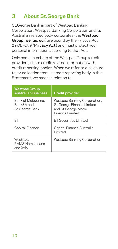# <span id="page-9-1"></span><span id="page-9-0"></span>**3 About St.George Bank**

St.George Bank is part of Westpac Banking Corporation. Westpac Banking Corporation and its Australian related body corporates (the **Westpac Group**, **we**, **us**, **our**) are bound by the *Privacy Act 1988* (Cth) ('**Privacy Act**') and must protect your personal information according to that Act.

Only some members of the Westpac Group (credit providers) share credit‑related information with credit reporting bodies. When we refer to disclosure to, or collection from, a credit reporting body in this Statement, we mean in relation to:

| <b>Westpac Group</b><br><b>Australian Business</b> | <b>Credit provider</b>                                                                                |
|----------------------------------------------------|-------------------------------------------------------------------------------------------------------|
| Bank of Melbourne,<br>BankSA and<br>St.George Bank | Westpac Banking Corporation,<br>St. George Finance Limited<br>and St. George Motor<br>Finance Limited |
| RТ                                                 | <b>BT</b> Securities Limited                                                                          |
| Capital Finance                                    | Capital Finance Australia<br>I imited                                                                 |
| Westpac,<br>RAMS Home Loans<br>and Xylo            | Westpac Banking Corporation                                                                           |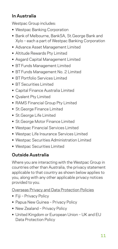### **In Australia**

Westpac Group includes:

- **•** Westpac Banking Corporation
- **•** Bank of Melbourne, BankSA, St.George Bank and Xylo – each a part of Westpac Banking Corporation
- **•** Advance Asset Management Limited
- **•** Altitude Rewards Pty Limited
- **•** Asgard Capital Management Limited
- **•** BT Funds Management Limited
- **•** BT Funds Management No. 2 Limited
- **•** BT Portfolio Services Limited
- **•** BT Securities Limited
- **•** Capital Finance Australia Limited
- **•** Qvalent Pty Limited
- **•** RAMS Financial Group Pty Limited
- **•** St.George Finance Limited
- **•** St.George Life Limited
- **•** St.George Motor Finance Limited
- **•** Westpac Financial Services Limited
- **•** Westpac Life Insurance Services Limited
- **•** Westpac Securities Administration Limited
- **•** Westpac Securities Limited

# **Outside Australia**

Where you are interacting with the Westpac Group in countries other than Australia, the privacy statement applicable to that country as shown below applies to you, along with any other applicable privacy notices provided to you.

[Overseas Privacy and Data Protection Policies](http://www.stgeorge.com.au/privacy/overseas-privacy-and-data-protection-policies)

- **•** Fiji Privacy Policy
- **•** Papua New Guinea Privacy Policy
- **•** New Zealand Privacy Policy
- **•** United Kingdom or European Union UK and EU Data Protection Policy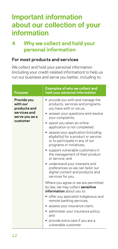# <span id="page-11-0"></span>**Important information about our collection of your information**

# **4 Why we collect and hold your personal information**

#### **For most products and services**

We collect and hold your personal information (including your credit‑related information) to help us run our business and serve you better, including to:

| <b>Purpose</b>                                                                        | <b>Examples of why we collect and</b><br>hold your personal information                                                                                                                                                                                                                                                                                                                                                                                                                                                                                                                              |
|---------------------------------------------------------------------------------------|------------------------------------------------------------------------------------------------------------------------------------------------------------------------------------------------------------------------------------------------------------------------------------------------------------------------------------------------------------------------------------------------------------------------------------------------------------------------------------------------------------------------------------------------------------------------------------------------------|
| Provide you<br>with our<br>products and<br>services and<br>serve you as a<br>customer | • provide you with and manage the<br>products, services and programs<br>you have with or via us;<br>• answer your questions and resolve<br>your complaints;<br>• assist you when an online<br>application is not completed;<br>• assess your application (including<br>eligibility) for a product or service<br>or to participate in any of our<br>programs or initiatives;<br>support vulnerable customers in<br>the management of their product<br>or service; and<br>• understand your interests and<br>preferences so we can tailor our<br>digital content and products and<br>services for you. |
|                                                                                       | Where you agree or we are permitted<br>by law, we may collect sensitive<br>information about you to:<br>• offer you specialist Indigenous and<br>remote banking services;<br>• assess your insurance claim;<br>• administer your insurance policy;<br>and<br>• provide extra care if you are a<br>vulnerable customer.                                                                                                                                                                                                                                                                               |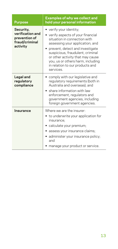| <b>Purpose</b>                                                               | <b>Examples of why we collect and</b><br>hold your personal information                                                                                                                                                                                                                                                      |
|------------------------------------------------------------------------------|------------------------------------------------------------------------------------------------------------------------------------------------------------------------------------------------------------------------------------------------------------------------------------------------------------------------------|
| Security,<br>verification and<br>prevention of<br>fraud/criminal<br>activity | verify your identity;<br>verify aspects of your financial<br>situation in connection with<br>assessing your application; and<br>prevent, detect and investigate<br>suspicious, fraudulent, criminal<br>or other activity that may cause<br>you, us or others harm, including<br>in relation to our products and<br>services. |
| Legal and<br>regulatory<br>compliance                                        | comply with our legislative and<br>regulatory requirements (both in<br>Australia and overseas); and<br>share information with law<br>enforcement, regulators and<br>government agencies, including<br>foreign government agencies.                                                                                           |
| Insurance                                                                    | Where we are the insurer<br>to underwrite your application for<br>insurance;<br>calculate your premium;<br>assess your insurance claims;<br>administer your insurance policy;<br>and<br>manage your product or service.                                                                                                      |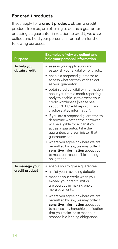### **For credit products**

If you apply for a **credit product**, obtain a credit product from us, are offering to act as a guarantor or acting as guarantor in relation to credit, we **also** collect and hold your personal information for the following purposes:

| <b>Purpose</b>                   | <b>Examples of why we collect and</b><br>hold your personal information                                                                                                                                                                                                                                                                                                                                                                                                                                                                                                                                                                                                                                                                                                |
|----------------------------------|------------------------------------------------------------------------------------------------------------------------------------------------------------------------------------------------------------------------------------------------------------------------------------------------------------------------------------------------------------------------------------------------------------------------------------------------------------------------------------------------------------------------------------------------------------------------------------------------------------------------------------------------------------------------------------------------------------------------------------------------------------------------|
| To help you<br>obtain credit     | assess your application and<br>$\bullet$<br>establish your eligibility for credit;<br>enable a proposed guarantor to<br>assess whether they wish to act<br>as your guarantor;<br>obtain credit eligibility information<br>about you from a credit reporting<br>body to enable us to assess your<br>credit worthiness (please see<br>section 10 'Credit reporting and<br>credit-related information';<br>if you are a proposed guarantor, to<br>determine whether the borrower<br>will be eligible for a loan if you<br>act as a quarantor, take the<br>quarantee, and administer that<br>guarantee; and<br>• where you agree or where we are<br>permitted by law, we may collect<br>sensitive information about you<br>to meet our responsible lending<br>obligations. |
| To manage your<br>credit product | enable you to give a guarantee;<br>assist you in avoiding default;<br>manage your credit when you<br>exceed your credit limit or<br>are overdue in making one or<br>more payments.<br>where you agree or where we are<br>permitted by law, we may collect<br>sensitive information about you<br>to assess any hardship application<br>that you make, or to meet our<br>responsible lending obligations.                                                                                                                                                                                                                                                                                                                                                                |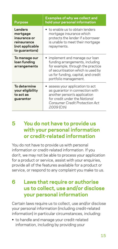<span id="page-14-0"></span>

| <b>Purpose</b>                                                                          | <b>Examples of why we collect and</b><br>hold your personal information                                                                                                                                     |  |
|-----------------------------------------------------------------------------------------|-------------------------------------------------------------------------------------------------------------------------------------------------------------------------------------------------------------|--|
| Lenders<br>mortgage<br>insurance or<br>reinsurance<br>(not applicable<br>to guarantors) | to enable us to obtain lenders<br>mortgage insurance which<br>protects the lender if a borrower<br>is unable to meet their mortgage<br>repayments.                                                          |  |
| To manage our<br>loan funding<br>arrangements                                           | implement and manage our loan<br>funding arrangements, including<br>for example, through the practice<br>of securitisation which is used by<br>us for funding, capital, and credit<br>portfolio management. |  |
| To determine<br>your eligibility<br>to act as<br>guarantor                              | assess your application to act<br>as guarantor in connection with<br>another person's application<br>for credit under the National<br>Consumer Credit Protection Act<br>2009 (Cth)                          |  |

# **5 You do not have to provide us with your personal information or credit‑related information**

You do not have to provide us with personal information or credit‑related information. If you don't, we may not be able to process your application for a product or service, assist with your enquiries. provide all of the features available for a product or service, or respond to any complaint you make to us.

# **6 Laws that require or authorise us to collect, use and/or disclose your personal information**

Certain laws require us to collect, use and/or disclose your personal information (including credit‑related information) in particular circumstances, including:

**•** to handle and manage your credit‑related information, including by providing your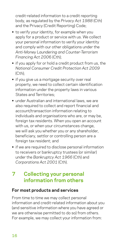<span id="page-15-0"></span>credit‑related information to a credit reporting body, as regulated by the *Privacy Act 1988* (Cth) and the Privacy (Credit Reporting) Code;

- **•** to verify your identity, for example when you apply for a product or service with us. We collect your personal information to verify your identity and comply with our other obligations under the *Anti‑Money Laundering and Counter‑Terrorism Financing Act 200*6 (Cth);
- **•** if you apply for or hold a credit product from us, the *National Consumer Credit Protection Act 2009*  $(Cth)$ :
- **•** if you give us a mortgage security over real property, we need to collect certain identification information under the property laws in various States and Territories;
- **•** under Australian and international laws, we are also required to collect and report financial and account/transaction information relating to individuals and organisations who are, or may be, foreign tax residents. When you open an account with us, or when your circumstances change. we will ask you whether you or any shareholder, beneficiary, settlor or controlling person are a foreign tax resident; and
- **•** if we are required to disclose personal information to receivers or bankruptcy trustees (or similar) under the *Bankruptcy Act 1966* (Cth) and *Corporations Act 2001* (Cth).

# **7 Collecting your personal information from others**

#### **For most products and services**

From time to time we may collect personal information and credit‑related information about you (and sensitive information where you have agreed or we are otherwise permitted to do so) from others. For example, we may collect your information from: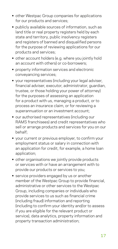- **•** other Westpac Group companies for applications for our products and services;
- **•** publicly available sources of information, such as land title or real property registers held by each state and territory, public insolvency registers and registers of banned and disqualified persons for the purpose of reviewing applications for our products and services;
- **•** other account holders (e.g. where you jointly hold an account with others) or co-borrowers:
- **•** property information services and electronic conveyancing services;
- **•** your representatives (including your legal adviser, financial adviser, executor, administrator, guardian, trustee, or those holding your power of attorney) for the purposes of assessing an application for a product with us, managing a product, or to process an insurance claim, or for reviewing a superannuation or an investment account;
- **•** our authorised representatives (including our RAMS franchisees) and credit representatives who sell or arrange products and services for you on our behalf;
- **•** your current or previous employer, to confirm your employment status or salary in connection with an application for credit, for example, a home loan application;
- **•** other organisations we jointly provide products or services with or have an arrangement with to provide our products or services to you;
- **•** service providers engaged by us or another member of the Westpac Group to provide financial, administrative or other services to the Westpac Group, including companies or individuals who provide services to us such as financial crime (including fraud) information and reporting (including to confirm your identity and/or to assess if you are eligible for the relevant product or service), data analytics, property information and property transaction administration;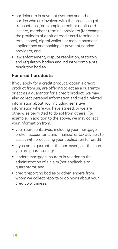- **•** participants in payment systems and other parties who are involved with the processing of transactions (for example, credit or debit card issuers, merchant terminal providers (for example, the providers of debit or credit card terminals in retail shops), digital wallets or mobile payment applications and banking or payment service providers; and
- **•** law enforcement, dispute resolution, statutory and regulatory bodies and industry complaints resolution bodies.

### **For credit products**

If you apply for a credit product, obtain a credit product from us, are offering to act as a guarantor or act as a guarantor for a credit product, we may also collect personal information and credit‑related information about you (including sensitive information where you have agreed, or we are otherwise permitted to do so) from others. For example, in addition to the above, we may collect your information from:

- **•** your representatives, including your mortgage broker, accountant, and financial or tax adviser, to assist with processing your application for credit;
- **•** if you are a guarantor, the borrower(s) of the loan you are guaranteeing;
- **•** lenders mortgage insurers in relation to the administration of a claim (not applicable to guarantors); and
- **•** credit reporting bodies or other lenders from whom we collect reports or opinions about your credit worthiness.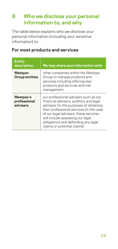# <span id="page-18-0"></span>**8 Who we disclose your personal information to, and why**

The table below explains who we disclose your personal information (including your sensitive information) to:

| <b>Entity</b><br>description          | We may share your information with:                                                                                                                                                                                                                                                                                       |
|---------------------------------------|---------------------------------------------------------------------------------------------------------------------------------------------------------------------------------------------------------------------------------------------------------------------------------------------------------------------------|
| Westpac<br><b>Group entities</b>      | other companies within the Westpac<br>Group to manage products and<br>services including offering new<br>products and services and risk<br>management.                                                                                                                                                                    |
| Westpac's<br>professional<br>advisers | our professional advisers such as our<br>financial advisers, auditors and legal<br>advisers for the purposes of obtaining<br>their professional services (in the case<br>of our legal advisers, these services<br>will include assessing our legal<br>obligations and defending any legal<br>claims or potential claims). |

#### **For most products and services**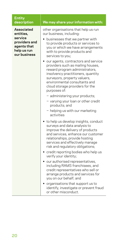#### **Entity description We may share your information with:**

**Associated entities, service providers and agents that help us run our business** other organisations that help us run our business, including: **•** businesses that we partner with to provide products or services to you or which we have arrangements with to provide products and services to you; **•** our agents, contractors and service providers such as mailing houses, reward program administrators, insolvency practitioners, quantity surveyors, property valuers, environmental consultants and cloud storage providers for the purposes of: − administering your products; − varying your loan or other credit products; and − helping us with our marketing activities **•** to help us develop insights, conduct surveys and data analysis to improve the delivery of products and services, enhance our customer relationships, provide hosting services and effectively manage risk and regulatory obligations; **•** credit reporting bodies who help us verify your identity; **•** our authorised representatives, including RAMS franchisees, and credit representatives who sell or arrange products and services for you on our behalf; and **•** organisations that support us to identify, investigate or prevent fraud or other misconduct.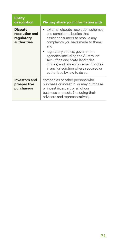| <b>Entity</b><br>description                                  | We may share your information with:                                                                                                                                                                                    |  |
|---------------------------------------------------------------|------------------------------------------------------------------------------------------------------------------------------------------------------------------------------------------------------------------------|--|
| <b>Dispute</b><br>resolution and<br>regulatory<br>authorities | $\bullet\,$ external dispute resolution schemes<br>and complaints bodies that<br>assist consumers to resolve any<br>complaints you have made to them;<br>and                                                           |  |
|                                                               | regulatory bodies, government<br>agencies (including the Australian<br>Tax Office and state land titles<br>offices) and law enforcement bodies<br>in any jurisdiction where required or<br>authorised by law to do so. |  |
| Investors and<br>prospective<br>purchasers                    | companies or other persons who<br>purchase or invest in, or may purchase<br>or invest in, a part or all of our<br>business or assets (including their<br>advisers and representatives).                                |  |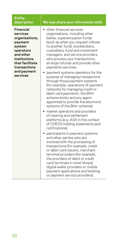#### **Entity description We may share your information with:**

**Financial services organisations, payment system operators and other institutions that facilitate transactions and payment services •** other financial services organisations, including other banks, superannuation funds (such as when you request rollover to another fund), stockbrokers, custodians, fund and investment managers, and service providers who process your transactions. arrange refunds and provide other payments services; **•** payment systems operators for the purpose of managing transactions through those payment systems (for example, operations of payment networks for managing credit or debit card payments, the BPAY scheme entity and any agent appointed to provide the electronic systems of the BPAY scheme); **•** market operators and providers of clearing and settlement platforms (e.g. ASX in the context of CHESS holding statements and notifications); **•** participants in payment systems and other parties who are involved with the processing of transactions (for example, credit or debit card issuers, merchant terminal providers (for example, the providers of debit or credit card terminals in retail shops), digital wallet providers or mobile payment applications and banking or payment service providers).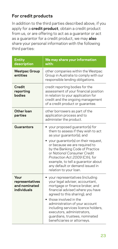### **For credit products**

In addition to the third parties described above, if you apply for a **credit product**, obtain a credit product from us, or are offering to act as a guarantor or act as a guarantor for a credit product, we may **also** share your personal information with the following third parties:

| <b>Entity</b><br>description                            | We may share your information<br>with:                                                                                                                                                                                                                                                                                                                                           |  |
|---------------------------------------------------------|----------------------------------------------------------------------------------------------------------------------------------------------------------------------------------------------------------------------------------------------------------------------------------------------------------------------------------------------------------------------------------|--|
| <b>Westpac Group</b><br>entities                        | other companies within the Westpac<br>Group in Australia to comply with our<br>responsible lending obligations.                                                                                                                                                                                                                                                                  |  |
| <b>Credit</b><br>reporting<br>bodies                    | credit reporting bodies for the<br>assessment of your financial position<br>in relation to your application for<br>credit and the ongoing management<br>of a credit product or guarantee.                                                                                                                                                                                        |  |
| Other loan<br>parties                                   | other borrowers as part of the<br>application process and to<br>administer the product.                                                                                                                                                                                                                                                                                          |  |
| Guarantors                                              | your proposed guarantor(s) for<br>them to assess if they wish to act<br>as your guarantor(s); and<br>your guarantor(s) on their request,<br>or because we are required to<br>by the Banking Code of Practice<br>or National Consumer Credit<br>Protection Act 2009 (Cth), for<br>example, to tell a quarantor about<br>any default or demand issued in<br>relation to your loan. |  |
| Your<br>representatives<br>and nominated<br>individuals | your representatives (including<br>your legal adviser, accountant,<br>mortgage or finance broker, and<br>financial adviser) where you have<br>agreed to this sharing); and<br>those involved in the<br>administration of your account<br>including services licence holders,<br>executors, administrators,<br>guardians, trustees, nominated<br>beneficiaries or attorneys.      |  |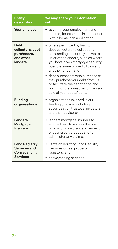| <b>Entity</b><br>description                                            | We may share your information<br>with:                                                                                                                                                                                                |  |
|-------------------------------------------------------------------------|---------------------------------------------------------------------------------------------------------------------------------------------------------------------------------------------------------------------------------------|--|
| Your employer                                                           | • to verify your employment and<br>income, for example, in connection<br>with a home loan application.                                                                                                                                |  |
| <b>Debt</b><br>collectors, debt<br>purchasers,<br>and other<br>lenders  | • where permitted by law, to<br>debt collectors to collect any<br>outstanding amounts you owe to<br>us or other lenders, such as where<br>you have given mortgage security<br>over the same property to us and<br>another lender: and |  |
|                                                                         | debt purchasers who purchase or<br>may purchase your debt from us<br>to facilitate the negotiation and<br>pricing of the investment in and/or<br>sale of your debts/loans.                                                            |  |
| <b>Funding</b><br>organisations                                         | organisations involved in our<br>funding of loans (including<br>securitisation trustees, investors,<br>and their advisers).                                                                                                           |  |
| Lenders<br>Mortgage<br>Insurers                                         | • lenders mortgage insurers to<br>enable them to assess the risk<br>of providing insurance in respect<br>of your credit product and to<br>administer any claims.                                                                      |  |
| <b>Land Registry</b><br>Services and<br>Conveyancing<br><b>Services</b> | • State or Territory Land Registry<br>Services or real property<br>registers; and<br>conveyancing services.                                                                                                                           |  |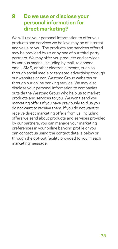# <span id="page-24-1"></span><span id="page-24-0"></span>**9 Do we use or disclose your personal information for direct marketing?**

We will use your personal information to offer you products and services we believe may be of interest and value to you. The products and services offered may be provided by us or by one of our third-party partners. We may offer you products and services by various means, including by mail, telephone, email, SMS, or other electronic means, such as through social media or targeted advertising through our websites or non‑Westpac Group websites or through our online banking service. We may also disclose your personal information to companies outside the Westpac Group who help us to market products and services to you. We won't send you marketing offers if you have previously told us you do not want to receive them. If you do not want to receive direct marketing offers from us, including offers we send about products and services provided by our partners, you can manage your marketing preferences in your online banking profile or you can contact us using the contact details below or through the opt‑out facility provided to you in each marketing message.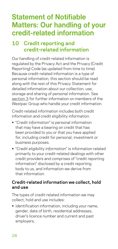# <span id="page-25-0"></span>**Statement of Notifiable Matters: Our handling of your credit‑related information**

# <span id="page-25-1"></span>**10 Credit reporting and credit‑related information**

Our handling of credit‑related information is regulated by the Privacy Act and the Privacy (Credit Reporting) Code (as updated from time to time). Because credit‑related information is a type of personal information, this section should be read along with the rest of this Privacy Statement for detailed information about our collection, use, storage and sharing of personal information. See [section 3](#page-9-1) for further information on members of the Westpac Group who handle your credit information.

Credit‑related information includes both credit information and credit eligibility information.

- **•** "*Credit information*" is personal information that may have a bearing on credit that has been provided to you or that you have applied for, including credit for personal, investment or business purposes.
- **•** "*Credit eligibility information*" is information related primarily to your credit-related dealings with other credit providers and comprises of "credit reporting information" disclosed by a credit reporting body to us, and information we derive from that information.

#### **Credit‑related information we collect, hold and use**

The types of credit-related information we may collect, hold and use includes:

**•** identification information, including your name, gender, date of birth, residential addresses, driver's licence number and current and past employers;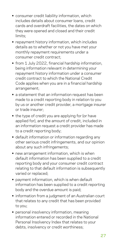- **•** consumer credit liability information, which includes details about consumer loans, credit cards and overdraft facilities, the dates on which they were opened and closed and their credit limits;
- **•** repayment history information, which includes details as to whether or not you have met your monthly repayment requirements under a consumer credit contract;
- **•** from 1 July 2022, financial hardship information, being information relevant in determining your repayment history information under a consumer credit contract to which the National Credit Code applies when you are in a financial hardship arrangement;
- **•** a statement that an information request has been made to a credit reporting body in relation to you by us or another credit provider, a mortgage insurer or trade insurer;
- **•** the type of credit you are applying for (or have applied for), and the amount of credit, included in an information request a credit provider has made to a credit reporting body;
- **•** default information or information regarding any other serious credit infringements, and our opinion about any such infringements;
- **•** new arrangement information, which is when default information has been supplied to a credit reporting body and your consumer credit contract relating to that default information is subsequently varied or replaced;
- **•** payment information, which is when default information has been supplied to a credit reporting body and the overdue amount is paid;
- **•** information from a judgment of an Australian court that relates to any credit that has been provided to you;
- **•** personal insolvency information, meaning information entered or recorded in the National Personal Insolvency Index that relates to your debts, insolvency or credit worthiness;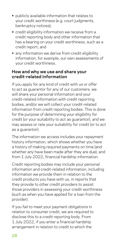- **•** publicly available information that relates to your credit worthiness (e.g. court judgments, bankruptcy notices);
- **•** credit eligibility information we receive from a credit reporting body and other information that has a bearing on your credit worthiness, such as a credit report; and
- **•** any information we derive from credit eligibility information, for example, our own assessments of your credit worthiness.

#### **How and why we use and share your credit‑related information**

If you apply for any kind of credit with us or offer to act as guarantor for any of our customers, we will share your personal information and your credit‑related information with credit reporting bodies, and/or we will collect your credit-related information from credit reporting bodies. This is done for the purpose of determining your eligibility for credit (or your suitability to act as guarantor), and we may assess or rate your suitability for credit (or to act as a guarantor).

The information we access includes your repayment history information, which shows whether you have a history of making required payments on time (and whether any have been made after they are due), and from 1 July 2022, financial hardship information.

Credit reporting bodies may include your personal information and credit‑related information, including information we provide them in relation to the credit products you have with us, in reports that they provide to other credit providers to assist those providers in assessing your credit worthiness (such as when you have applied for a loan from the provider).

If you fail to meet your payment obligations in relation to consumer credit, we are required to disclose this to a credit reporting body. From 1 July 2022, if you enter a financial hardship arrangement in relation to credit to which the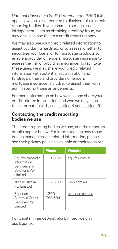*National Consumer Credit Protection Act 2009* (Cth) applies, we are also required to disclose this to credit reporting bodies. If you commit a serious credit infringement, such as obtaining credit by fraud, we may also disclose this to a credit reporting body.

We may also use your credit-related information to assist you during hardship, or to assess whether to securitise your loans, or for mortgage products to enable a provider of lenders mortgage insurance to assess the risk of providing insurance. To facilitate these uses, we may share your credit‑related information with potential securitisation and funding partners and providers of lenders mortgage insurance, including to assist them with administering those arrangements.

For more information on how we use and share your credit‑related information, and who we may share this information with, see section 8 and [section](#page-43-1) 20.

#### **Contacting the credit reporting bodies we use**

The credit reporting bodies we use, and their contact details appear below. For information on how those bodies manage credit‑related information, please see their privacy policies available on their websites.

|                                                                               | <b>Phone</b>   | <b>Website</b>  |
|-------------------------------------------------------------------------------|----------------|-----------------|
| Equifax Australia<br>Information<br>Services and<br>Solutions Pty<br>I imited | 138382         | equifax.com.au  |
| Illion Australia<br>Pty Limited                                               | 132333         | illion.com.au   |
| Experian<br>Australia Credit<br>Services Pty<br>Limited                       | 1300<br>783684 | experian.com.au |

For Capital Finance Australia Limited, we only use Equifax.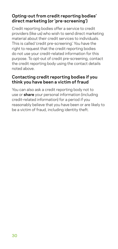#### **Opting‑out from credit reporting bodies' direct marketing (or 'pre‑screening')**

Credit reporting bodies offer a service to credit providers (like us) who wish to send direct marketing material about their credit services to individuals. This is called 'credit pre‑screening'. You have the right to request that the credit reporting bodies do not use your credit‑related information for this purpose. To opt‑out of credit pre‑screening, contact the credit reporting body using the contact details noted above.

#### **Contacting credit reporting bodies if you think you have been a victim of fraud**

You can also ask a credit reporting body not to use or **share** your personal information (including credit‑related information) for a period if you reasonably believe that you have been or are likely to be a victim of fraud, including identity theft.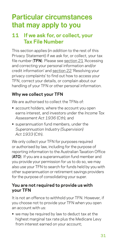# <span id="page-30-0"></span>**Particular circumstances that may apply to you**

# <span id="page-30-1"></span>**11 If we ask for, or collect, your Tax File Number**

This section applies (*in addition* to the rest of this Privacy Statement) if we ask for, or collect, your tax file number (**TFN**). Please see [section 21](#page-44-1) 'Accessing and correcting your personal information and/or credit information' and [section 22](#page-45-1) 'Resolving your privacy complaints' to find out how to access your TFN, correct your details, or complain about our handling of your TFN or other personal information.

### **Why we collect your TFN**

We are authorised to collect the TFNs of

- **•** account holders, where the account you open earns interest, and investors under the *Income Tax Assessment Act 1936* (Cth); and
- **•** superannuation fund members, under the *Superannuation Industry (Supervision) Act 1933* (Cth).

We only collect your TFN for purposes required or authorised by law, including for the purpose of reporting information to the Australian Taxation Office (**ATO**). If you are a superannuation fund member and you provide your permission for us to do so, we may also use your TFN to search for funds held by you with other superannuation or retirement savings providers for the purpose of consolidating your super.

#### **You are not required to provide us with your TFN**

It is not an offence to withhold your TFN. However, if you choose not to provide your TFN when you open an account with us:

**•** we may be required by law to deduct tax at the highest marginal tax rate plus the Medicare Levy from interest earned on your account;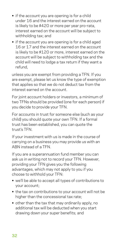- **•** if the account you are opening is for a child under 16 and the interest earned on the account is likely to be \$420 or more per year pro-rata, interest earned on the account will be subject to withholding tax; and
- **•** if the account you are opening is for a child aged 16 or 17 and the interest earned on the account is likely to be \$120 or more, interest earned on the account will be subject to withholding tax and the child will need to lodge a tax return if they want a refund,

unless you are exempt from providing a TFN. If you are exempt, please let us know the type of exemption that applies so that we do not deduct tax from the interest earned on the account.

For joint account holders or investors, a minimum of two TFNs should be provided (one for each person) if you decide to provide your TFN.

For accounts in trust for someone else (such as your child) you should quote your own TFN. If a formal trust has been established, you can quote the trust's TFN.

If your investment with us is made in the course of carrying on a business you may provide us with an ABN instead of a TFN.

If you are a superannuation fund member you can ask us in writing not to record your TFN. However, providing your TFN gives you the following advantages, which may not apply to you if you choose to withhold your TFN:

- **•** we'll be able to accept all types of contributions to your account;
- **•** the tax on contributions to your account will not be higher than the concessional tax rate;
- **•** other than the tax that may ordinarily apply, no additional tax will be deducted when you start drawing down your super benefits; and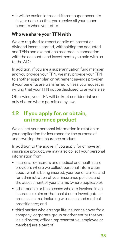<span id="page-32-0"></span>**•** it will be easier to trace different super accounts in your name so that you receive all your super benefits when you retire.

#### **Who we share your TFN with**

We are required to report details of interest or dividend income earned, withholding tax deducted and TFNs and exemptions recorded in connection with the accounts and investments you hold with us to the ATO.

In addition, if you are a superannuation fund member and you provide your TFN, we may provide your TFN to another super plan or retirement savings provider if your benefits are transferred, unless you request in writing that your TFN not be disclosed to anyone else.

Otherwise, your TFN will be kept confidential and only shared where permitted by law.

# <span id="page-32-1"></span>**12 If you apply for, or obtain, an insurance product**

We collect your personal information in relation to your application for insurance for the purpose of underwriting that insurance product.

In addition to the above, if you apply for or have an insurance product, we may also collect your personal information from:

- **•** insurers, re‑insurers and medical and health care providers where we collect personal information about what is being insured, your beneficiaries and for administration of your insurance policies and the assessment of your claims (where applicable);
- **•** other people or businesses who are involved in an insurance claim or that assist us to investigate or process claims, including witnesses and medical practitioners; and
- **•** third parties who arrange life insurance cover for a company, corporate group or other entity that you (as a director, officer, representative, employee or member) are a part of.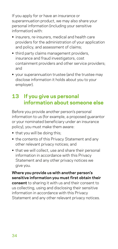<span id="page-33-0"></span>If you apply for or have an insurance or superannuation product, we may also share your personal information (including your sensitive information) with:

- **•** insurers, re‑insurers, medical and health care providers for the administration of your application and policy, and assessment of claims;
- **•** third party claims management providers, insurance and fraud investigators, cost containment providers and other service providers; and
- **•** your superannuation trustee (and the trustee may disclose information it holds about you to your employer).

# <span id="page-33-1"></span>**13 If you give us personal information about someone else**

Before you provide another person's personal information to us (for example, a proposed guarantor or your nominated beneficiary under an insurance policy), you must make them aware:

- **•** that you will be doing this;
- **•** the contents of this Privacy Statement and any other relevant privacy notices; and
- **•** that we will collect, use and share their personal information in accordance with this Privacy Statement and any other privacy notices we give you.

**Where you provide us with another person's sensitive information you must first obtain their consent** to sharing it with us and their consent to us collecting, using and disclosing their sensitive information in accordance with this Privacy Statement and any other relevant privacy notices.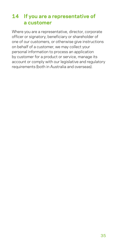# <span id="page-34-0"></span>**14 If you are a representative of a customer**

Where you are a representative, director, corporate officer or signatory, beneficiary or shareholder of one of our customers, or otherwise give instructions on behalf of a customer, we may collect your personal information to process an application by customer for a product or service, manage its account or comply with our legislative and regulatory requirements (both in Australia and overseas).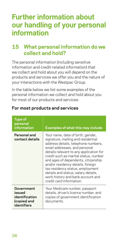# <span id="page-35-0"></span>**Further information about our handling of your personal information**

# **15 What personal information do we collect and hold?**

The personal information (including sensitive information and credit‑related information) that we collect and hold about you will depend on the products and services we offer you and the nature of your interactions with the Westpac Group.

In the table below we list some examples of the personal information we collect and hold about you for most of our products and services:

| <b>Type of</b><br>personal<br><i>information</i>                      | <b>Examples of what this may include</b>                                                                                                                                                                                                                                                                                                                                                                                                                    |
|-----------------------------------------------------------------------|-------------------------------------------------------------------------------------------------------------------------------------------------------------------------------------------------------------------------------------------------------------------------------------------------------------------------------------------------------------------------------------------------------------------------------------------------------------|
| Personal and<br>contact details                                       | Your name, date of birth, gender,<br>signature, mailing and residential<br>address details, telephone numbers,<br>email addresses, and personal<br>details relevant to any application for<br>credit such as marital status, number<br>and ages of dependents, citizenship<br>and/or residency details, foreign<br>tax residency status, employment<br>details and status, salary details,<br>work history and bank account and<br>credit card information. |
| Government<br>issued<br>identification<br>(copies) and<br>identifiers | Your Medicare number, passport<br>details, driver's licence number, and<br>copies of government identification<br>documents.                                                                                                                                                                                                                                                                                                                                |

#### **For most products and services**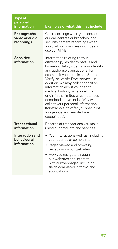| <b>Type of</b><br>personal<br>information     | <b>Examples of what this may include</b>                                                                                                                                                                                                                                                                                                                                                                                                                                                                                                             |
|-----------------------------------------------|------------------------------------------------------------------------------------------------------------------------------------------------------------------------------------------------------------------------------------------------------------------------------------------------------------------------------------------------------------------------------------------------------------------------------------------------------------------------------------------------------------------------------------------------------|
| Photographs,<br>video or audio<br>recordinas  | Call recordings when you contact<br>our call centres or branches, and<br>security camera recordings when<br>you visit our branches or offices or<br>use our ATMs.                                                                                                                                                                                                                                                                                                                                                                                    |
| <b>Sensitive</b><br>information               | Information relating to your<br>citizenship, residency status and<br>biometric data (to verify your identity<br>and authorise transactions, for<br>example if you enrol in our 'Smart<br>Verify' or 'Verify-Ewe' service). In<br>addition, we may collect sensitive<br>information about your health,<br>medical history, racial or ethnic<br>origin in the limited circumstances<br>described above under 'Why we<br>collect your personal information'<br>(for example, to offer you specialist<br>Indigenous and remote banking<br>capabilities). |
| <b>Transactional</b><br>information           | Records of transactions you make<br>using our products and services.                                                                                                                                                                                                                                                                                                                                                                                                                                                                                 |
| Interaction and<br>behavioural<br>information | Your interactions with us, including<br>your queries or complaints<br>Pages viewed and browsing<br>behaviour on our websites.<br>How you navigate through<br>our websites and interact<br>with our webpages, including<br>fields completed in forms and<br>applications.                                                                                                                                                                                                                                                                             |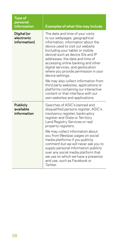| <b>Type of</b><br>personal<br>information   | <b>Examples of what this may include</b>                                                                                                                                                                                                                                                                                                                                                                                                                                                                                  |
|---------------------------------------------|---------------------------------------------------------------------------------------------------------------------------------------------------------------------------------------------------------------------------------------------------------------------------------------------------------------------------------------------------------------------------------------------------------------------------------------------------------------------------------------------------------------------------|
| Digital (or<br>electronic<br>information)   | The date and time of your visits<br>to our webpages, geographical<br>information, information about the<br>device used to visit our website<br>(including your tablet or mobile<br>device) such as device IDs and IP<br>addresses, the date and time of<br>accessing online banking and other<br>digital services, and geolocation<br>where you provide permission in your<br>device settings.<br>We may also collect information from<br>third party websites, applications or<br>platforms containing our interactive   |
|                                             | content or that interface with our<br>own websites and applications.                                                                                                                                                                                                                                                                                                                                                                                                                                                      |
| <b>Publicly</b><br>available<br>information | Searches of ASIC's banned and<br>disqualified persons register, ASIC's<br>insolvency register, bankruptcy<br>register and State or Territory<br>Land Registry Services or real<br>property registers.<br>We may collect information about<br>you from Westpac pages on social<br>media platforms if you publicly<br>comment but we will never ask you to<br>supply personal information publicly<br>over any social media platform that<br>we use on which we have a presence<br>and use, such as Facebook or<br>Twitter. |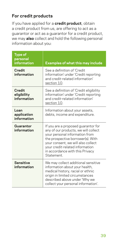### **For credit products**

If you have applied for a **credit product**, obtain a credit product from us, are offering to act as a guarantor or act as a guarantor for a credit product, we may **also** collect and hold the following personal information about you:

| <b>Type of</b><br>personal<br>information | <b>Examples of what this may include</b>                                                                                                                                                                                                                                     |
|-------------------------------------------|------------------------------------------------------------------------------------------------------------------------------------------------------------------------------------------------------------------------------------------------------------------------------|
| Credit<br>information                     | See a definition of 'Credit<br>information' under 'Credit reporting<br>and credit-related information'<br>section 10.                                                                                                                                                        |
| Credit<br>eligibility<br>information      | See a definition of 'Credit eligibility<br>information' under 'Credit reporting<br>and credit-related information'<br>section 10.                                                                                                                                            |
| Loan<br>application<br>information        | Information about your assets,<br>debts, income and expenditure.                                                                                                                                                                                                             |
| Guarantor<br>information                  | If you are a proposed guarantor for<br>any of our products, we will collect<br>your personal information from<br>the prospective borrower(s). With<br>your consent, we will also collect<br>your credit-related information<br>in accordance with this Privacy<br>Statement. |
| <b>Sensitive</b><br>information           | We may collect additional sensitive<br>information about your health,<br>medical history, racial or ethnic<br>origin in limited circumstances<br>described above under 'Why we<br>collect your personal information'.                                                        |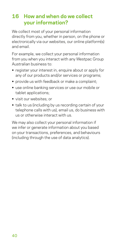# <span id="page-39-0"></span>**16 How and when do we collect your information?**

We collect most of your personal information directly from you, whether in person, on the phone or electronically via our websites, our online platform(s) and email.

For example, we collect your personal information from you when you interact with any Westpac Group Australian business to:

- **•** register your interest in, enquire about or apply for any of our products and/or services or programs;
- **•** provide us with feedback or make a complaint;
- **•** use online banking services or use our mobile or tablet applications;
- **•** visit our websites; or
- **•** talk to us (including by us recording certain of your telephone calls with us), email us, do business with us or otherwise interact with us.

We may also collect your personal information if we infer or generate information about you based on your transactions, preferences, and behaviours (including through the use of data analytics).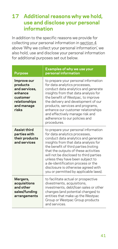# <span id="page-40-0"></span>**17 Additional reasons why we hold, use and disclose your personal information**

In addition to the specific reasons we provide for collecting your personal information in section 4 above 'Why we collect your personal information', we also hold, use and disclose your personal information for additional purposes set out below.

| <b>Purpose</b>                                                                                          | <b>Examples of why we use your</b><br>personal information                                                                                                                                                                                                                                                                                                                                                                               |
|---------------------------------------------------------------------------------------------------------|------------------------------------------------------------------------------------------------------------------------------------------------------------------------------------------------------------------------------------------------------------------------------------------------------------------------------------------------------------------------------------------------------------------------------------------|
| Improve our<br>products<br>and services,<br>enhance<br>customer<br>relationships<br>and manage<br>risks | to prepare your personal information<br>for data analytics processes,<br>conduct data analytics and generate<br>insights from that data analysis for<br>the benefit of Westpac, to improve<br>the delivery and development of our<br>products, services and programs,<br>enhance our customer relationships<br>and effectively manage risk and<br>adherence to our policies and<br>procedures.                                           |
| Assist third<br>parties with<br>their products<br>and services                                          | to prepare your personal information<br>for data analytics processes,<br>conduct data analytics and generate<br>insights from that data analysis for<br>the benefit of third parties (noting<br>that the outputs of these activities<br>will not be disclosed to third parties<br>unless they have been subject to<br>a de-identification process or the<br>disclosure is otherwise agreed with<br>you or permitted by applicable laws). |
| Mergers,<br>acquisitions<br>and other<br>sales/funding<br>arrangements                                  | to facilitate actual or prospective<br>divestments, acquisitions,<br>investments, debt/loan sales or other<br>changes (and potential changes) to<br>entities that make up the Westpac<br>Group or Westpac Group products<br>and services.                                                                                                                                                                                                |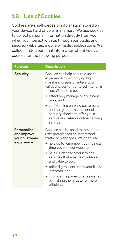# <span id="page-41-0"></span>**18 Use of Cookies**

Cookies are small pieces of information stored on your device hard drive or in memory. We use cookies to collect personal information directly from you when you interact with us through our public and secured websites, mobile or tablet applications. We collect limited personal information about you via cookies for the following purposes:

| <b>Purpose</b>                                            | <b>Description</b>                                                                                                                                                                                                                                                                                                                                                                                                      |
|-----------------------------------------------------------|-------------------------------------------------------------------------------------------------------------------------------------------------------------------------------------------------------------------------------------------------------------------------------------------------------------------------------------------------------------------------------------------------------------------------|
| <b>Security</b>                                           | Cookies can help secure a user's<br>experience by simplifying login,<br>maintaining session integrity or<br>validating content entered into form<br>fields We do this to:<br>effectively manage our business<br>risks; and<br>• verify online banking customers<br>and carry out other essential<br>security checks to offer you a<br>secure and reliable online banking<br>service.                                    |
| Personalise<br>and improve<br>your customer<br>experience | Cookies can be used to remember<br>user preferences or understand<br>traffic or webpages. We do this to:<br>help us to remember you the next<br>time you visit our websites;<br>• help us identify products and<br>services that may be of interest<br>and value to you;<br>tailor digital content to your likely<br>interests; and<br>improve the pages or sites visited<br>by making them faster or more<br>efficient |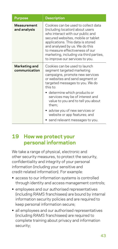<span id="page-42-0"></span>

| <b>Purpose</b>                     | <b>Description</b>                                                                                                                                                                                                                                                                                                                        |
|------------------------------------|-------------------------------------------------------------------------------------------------------------------------------------------------------------------------------------------------------------------------------------------------------------------------------------------------------------------------------------------|
| <b>Measurement</b><br>and analysis | Cookies can be used to collect data<br>(including location) about users<br>who interact with our public and<br>secured websites, mobile or tablet<br>applications. This data is stored<br>and analysed by us. We do this<br>to measure effectiveness of our<br>marketing, including via third parties,<br>to improve our services to you. |
| Marketing and<br>communication     | Cookies can be used to launch<br>segment targeted marketing<br>campaigns, promote new services<br>or websites and send segment or<br>targeted messages to you. We do<br>this to:                                                                                                                                                          |
|                                    | • determine which products or<br>services may be of interest and<br>value to you and to tell you about<br>them;                                                                                                                                                                                                                           |
|                                    | • advise you of new services or<br>website or app features; and<br>send relevant messages to you.                                                                                                                                                                                                                                         |
|                                    |                                                                                                                                                                                                                                                                                                                                           |

### **19 How we protect your personal information**

We take a range of physical, electronic and other security measures, to protect the security, confidentiality and integrity of your personal information (including your sensitive and credit-related information). For example:

- **•** access to our information systems is controlled through identity and access management controls;
- **•** employees and our authorised representatives (including RAMS franchisees) are bound by internal information security policies and are required to keep personal information secure;
- **•** all employees and our authorised representatives (including RAMS franchisees) are required to complete training about privacy and information security;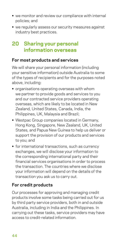- <span id="page-43-0"></span>**•** we monitor and review our compliance with internal policies; and
- **•** we regularly assess our security measures against industry best practices.

# <span id="page-43-1"></span>**20 Sharing your personal information overseas**

#### **For most products and services**

We will share your personal information (including your sensitive information) outside Australia to some of the types of recipients and for the purposes noted above, including:

- **•** organisations operating overseas with whom we partner to provide goods and services to you and our contracted service providers operating overseas, which are likely to be located in New Zealand, United States, Canada, India, the Philippines, UK, Malaysia and Brazil;
- **•** Westpac Group companies located in Germany, Hong Kong, Singapore, New Zealand, UK, United States, and Papua New Guinea to help us deliver or support the provision of our products and services to you; and
- **•** for international transactions, such as currency exchanges, we will disclose your information to the corresponding international party and their financial services organisations in order to process the transaction. The countries where we disclose your information will depend on the details of the transaction you ask us to carry out.

#### **For credit products**

Our processes for approving and managing credit products involve some tasks being carried out for us by third party service providers, both in and outside Australia, including in India and the Philippines. In carrying out these tasks, service providers may have access to credit‑related information.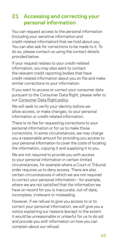# <span id="page-44-1"></span><span id="page-44-0"></span>**21 Accessing and correcting your personal information**

You can request access to the personal information (including your sensitive information and credit‑related information) that we hold about you. You can also ask for corrections to be made to it. To do so, please contact us using the contact details provided below.

If your request relates to your credit-related information, you may also want to contact the relevant credit reporting bodies that have credit‑related information about you on file and make similar corrections to your information.

If you want to access or correct your consumer data pursuant to the Consumer Data Right, please refer to our [Consumer Data Right](https://www.westpac.com.au/content/dam/public/wbc/documents/pdf/aw/WBC_CDR_Policy.pdf) policy.

We will seek to verify your identity before we allow access, or make changes, to your personal information or credit‑related information.

There is no fee for requesting corrections to your personal information or for us to make those corrections. In some circumstances, we may charge you a reasonable amount for providing you access to your personal information to cover the costs of locating the information, copying it and supplying it to you.

We are not required to provide you with access to your personal information in certain limited circumstances, for example where a Court or Tribunal order requires us to deny access. There are also certain circumstances in which we are not required to correct your personal information – for example, where we are not satisfied that the information we have on record for you is inaccurate, out-of-date, incomplete, irrelevant or misleading.

However, if we refuse to give you access to or to correct your personal information, we will give you a notice explaining our reasons (except to the extent it would be unreasonable or unlawful for us to do so) and provide you with information on how you can complain about our refusal.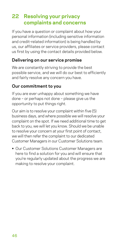# <span id="page-45-1"></span><span id="page-45-0"></span>**22 Resolving your privacy complaints and concerns**

If you have a question or complaint about how your personal information (including sensitive information and credit‑related information) is being handled by us, our affiliates or service providers, please contact us first by using the contact details provided below.

#### **Delivering on our service promise**

We are constantly striving to provide the best possible service, and we will do our best to efficiently and fairly resolve any concern you have.

#### **Our commitment to you**

If you are ever unhappy about something we have done – or perhaps not done – please give us the opportunity to put things right.

Our aim is to resolve your complaint within five (5) business days, and where possible we will resolve your complaint on the spot. If we need additional time to get back to you, we will let you know. Should we be unable to resolve your concern at your first point of contact, we will then refer the complaint to our dedicated Customer Managers in our Customer Solutions team.

**•** Our Customer Solutions Customer Managers are here to find a solution for you and will ensure that you're regularly updated about the progress we are making to resolve your complaint.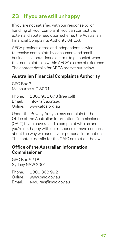# <span id="page-46-0"></span>**23 If you are still unhappy**

If you are not satisfied with our response to, or handling of, your complaint, you can contact the external dispute resolution scheme, the Australian Financial Complaints Authority (AFCA).

AFCA provides a free and independent service to resolve complaints by consumers and small businesses about financial firms (e.g., banks), where that complaint falls within AFCA's terms of reference. The contact details for AFCA are set out below.

#### **Australian Financial Complaints Authority**

GPO Box 3 Melbourne VIC 3001

| Phone:  | 1800 931 678 (free call) |
|---------|--------------------------|
| Email:  | info@afca.org.au         |
| Online: | www.afca.org.au          |

Under the Privacy Act you may complain to the Office of the Australian Information Commissioner (OAIC) if you have raised a complaint with us and you're not happy with our response or have concerns about the way we handle your personal information. The contact details for the OAIC are set out below.

#### **Office of the Australian Information Commissioner**

GPO Box 5218 Sydney NSW 2001

| Phone:  | 1300 363 992          |
|---------|-----------------------|
| Online: | www.oaic.gov.au       |
| Email:  | enquiries@oaic.gov.au |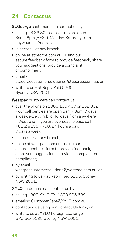# <span id="page-47-0"></span>**24 Contact us**

**St.George** customers can contact us by:

- **•** calling 13 33 30 call centres are open 8am - 8pm (AEST), Monday-Saturday from anywhere in Australia;
- **•** in person at any branch;
- **•** online at [stgeorge.com.au](https://www.stgeorge.com.au) using our [secure feedback form](https://eforms.stgeorge.com.au/olfmu/eforms/ConsumerFeedback/#/welcome) to provide feedback, share your suggestions, provide a complaint or compliment;
- **•** email [stgeorgecustomersolutions@stgeorge.com.au](mailto:stgeorgecustomersolutions%40stgeorge.com.au?subject=); or
- **•** write to us at Reply Paid 5265, Sydney NSW 2001

**Westpac** customers can contact us:

- **•** over the phone on 1300 130 467 or 132 032 – our call centres are open 8am – 8pm, 7 days a week except Public Holidays from anywhere in Australia. If you are overseas, please call +61 2 9155 7700, 24 hours a day, 7 days a week;
- **•** in person at any branch;
- **•** online at [westpac.com.au](http://westpac.com.au) using our [secure feedback form](https://banking.westpac.com.au/olfmu/eforms/ConsumerFeedback/#/welcome) to provide feedback, share your suggestions, provide a complaint or compliment;
- **•** by email [westpaccustomersolutions@westpac.com.au;](mailto:westpaccustomersolutions%40westpac.com.au?subject=) or
- **•** by writing to us at Reply Paid 5265, Sydney NSW 2001.

**XYLO** customers can contact us by:

- **•** calling 1300 XYLO FX (1300 995 639);
- **•** emailing [CustomerCare@XYLO.com.au;](mailto:CustomerCare%40XYLO.com.au?subject=)
- **•** contacting us using our [Contact Us form;](https://www.xylo.com.au/contact_us.aspx) or
- **•** write to us at XYLO Foreign Exchange GPO Box 5198 Sydney NSW 2001.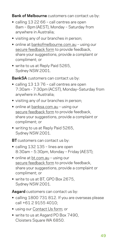**Bank of Melbourne** customers can contact us by:

- **•** calling 13 22 66 call centres are open 8am – 8pm (AEST), Monday – Saturday from anywhere in Australia;
- **•** visiting any of our branches in person;
- **•** online at [bankofmelbourne.com.au](https://www.bankofmelbourne.com.au/)  using our [secure feedback form](https://eforms.bankofmelbourne.com.au/olfmu/eforms/ConsumerFeedback/#/welcome) to provide feedback. share your suggestions, provide a complaint or compliment; or
- **•** write to us at Reply Paid 5265, Sydney NSW 2001.

**BankSA** customers can contact us by:

- **•** calling 13 13 76 call centres are open 7:30am - 7:30pm (ACST), Monday–Saturday from anywhere in Australia;
- **•** visiting any of our branches in person;
- **•** online at [banksa.com.au](https://www.banksa.com.au/) using our [secure feedback form](https://eforms.banksa.com.au/olfmu/eforms/ConsumerFeedback/#/welcome) to provide feedback, share your suggestions, provide a complaint or compliment; or
- **•** writing to us at Reply Paid 5265, Sydney NSW 2001.

**BT** customers can contact us by:

- **•** calling 132 135 lines are open 8:30am – 5:30pm, Monday – Friday (AEST);
- **•** online at [bt.com.au](https://www.bt.com.au/) using our [secure feedback form](https://secure.bt.com.au/forms/complaints.asp) to provide feedback, share your suggestions, provide a complaint or compliment; or
- **•** write to us at BT, GPO Box 2675, Sydney NSW 2001.

**Asgard** customers can contact us by:

- **•** calling 1800 731 812. If you are overseas please call +61 2 9155 4010;
- **•** using our [Contact Us form;](https://secure.bt.com.au/contact-us/contact-asgard.asp) or
- **•** write to us at Asgard PO Box 7490, Cloisters Square WA 6850.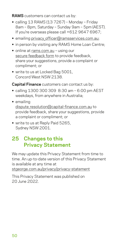<span id="page-49-0"></span>**RAMS** customers can contact us by:

- **•** calling 13 RAMS (13 7267) Monday Friday 8am – 8pm, Saturday – Sunday 9am – 5pm (AEST). If you're overseas please call +612 9647 6967;
- **•** emailing [privacy\\_officer@ramsservices.com.au](mailto:privacy_officer%40ramsservices.com.au?subject=);
- **•** in person by visiting any RAMS Home Loan Centre;
- **•** online at [rams.com.au](http://rams.com.au) using our [secure feedback form](https://www.rams.com.au/contact-us-feedback-and-complaints/) to provide feedback, share your suggestions, provide a complaint or compliment; or
- **•** write to us at Locked Bag 5001, Concord West NSW 2138.

#### **Capital Finance** customers can contact us by:

- **•** calling 1300 300 309 8:30 am 6:00 pm AEST weekdays, from anywhere in Australia;
- **•** emailing dispute resolution@capital-finance.com.au to provide feedback, share your suggestions, provide a complaint or compliment; or
- **•** write to us at Reply Paid 5265, Sydney NSW 2001.

# **25 Changes to this Privacy Statement**

We may update this Privacy Statement from time to time. An up-to-date version of this Privacy Statement is available at any time at

[stgeorge.com.au/privacy/privacy-statement](https://www.stgeorge.com.au/privacy/privacy-statement)

This Privacy Statement was published on 20 June 2022.